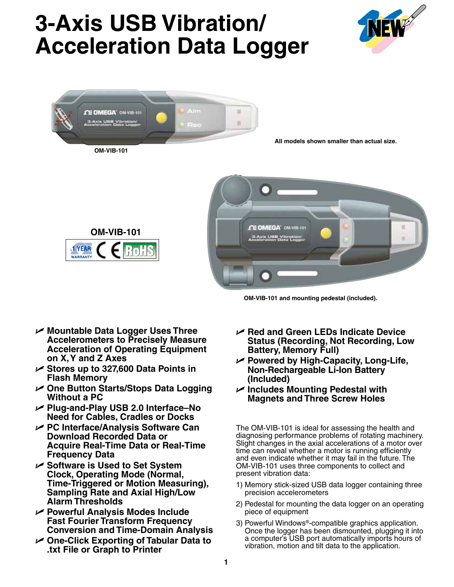## **3-Axis USB Vibration/ Acceleration Data Logger**





**OM-VIB-101 and mounting pedestal (included).**

- U **Mountable Data Logger Uses Three Accelerometers to Precisely Measure Acceleration of Operating Equipment on X, Y and Z Axes**
- U **Stores up to 327,600 Data Points in Flash Memory**
- U **One Button Starts/Stops Data Logging Without a PC**
- U **Plug-and-Play USB 2.0 Interface–No Need for Cables, Cradles or Docks**
- U **PC Interface/Analysis Software Can Download Recorded Data or Acquire Real-Time Data or Real-Time Frequency Data**
- U **Software is Used to Set System Clock, Operating Mode (Normal, Time-Triggered or Motion Measuring), Sampling Rate and Axial High/Low Alarm Thresholds**
- U **Powerful Analysis Modes Include Fast Fourier Transform Frequency Conversion and Time-Domain Analysis**
- U **One-Click Exporting of Tabular Data to .txt File or Graph to Printer**
- U **Red and Green LEDs Indicate Device Status (Recording, Not Recording, Low Battery, Memory Full)**
- U **Powered by High-Capacity, Long-Life, Non-Rechargeable Li-Ion Battery (Included)**
- U **Includes Mounting Pedestal with Magnets and Three Screw Holes**

The OM-VIB-101 is ideal for assessing the health and diagnosing performance problems of rotating machinery. Slight changes in the axial accelerations of a motor over time can reveal whether a motor is running efficiently and even indicate whether it may fail in the future. The OM-VIB-101 uses three components to collect and present vibration data:

- 1) Memory stick-sized USB data logger containing three precision accelerometers
- 2) Pedestal for mounting the data logger on an operating piece of equipment
- 3) Powerful Windows®-compatible graphics application. Once the logger has been dismounted, plugging it into a computer's USB port automatically imports hours of vibration, motion and tilt data to the application.